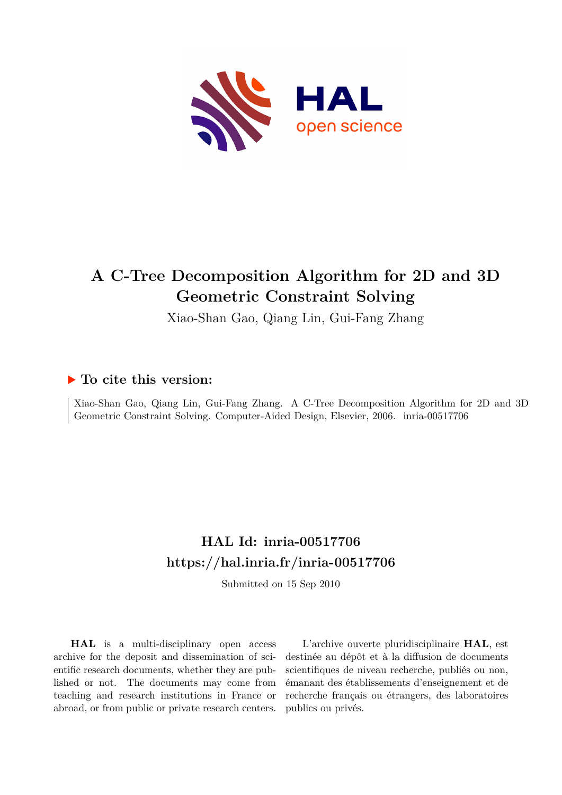

# **A C-Tree Decomposition Algorithm for 2D and 3D Geometric Constraint Solving**

Xiao-Shan Gao, Qiang Lin, Gui-Fang Zhang

# **To cite this version:**

Xiao-Shan Gao, Qiang Lin, Gui-Fang Zhang. A C-Tree Decomposition Algorithm for 2D and 3D Geometric Constraint Solving. Computer-Aided Design, Elsevier, 2006. inria-00517706

# **HAL Id: inria-00517706 <https://hal.inria.fr/inria-00517706>**

Submitted on 15 Sep 2010

**HAL** is a multi-disciplinary open access archive for the deposit and dissemination of scientific research documents, whether they are published or not. The documents may come from teaching and research institutions in France or abroad, or from public or private research centers.

L'archive ouverte pluridisciplinaire **HAL**, est destinée au dépôt et à la diffusion de documents scientifiques de niveau recherche, publiés ou non, émanant des établissements d'enseignement et de recherche français ou étrangers, des laboratoires publics ou privés.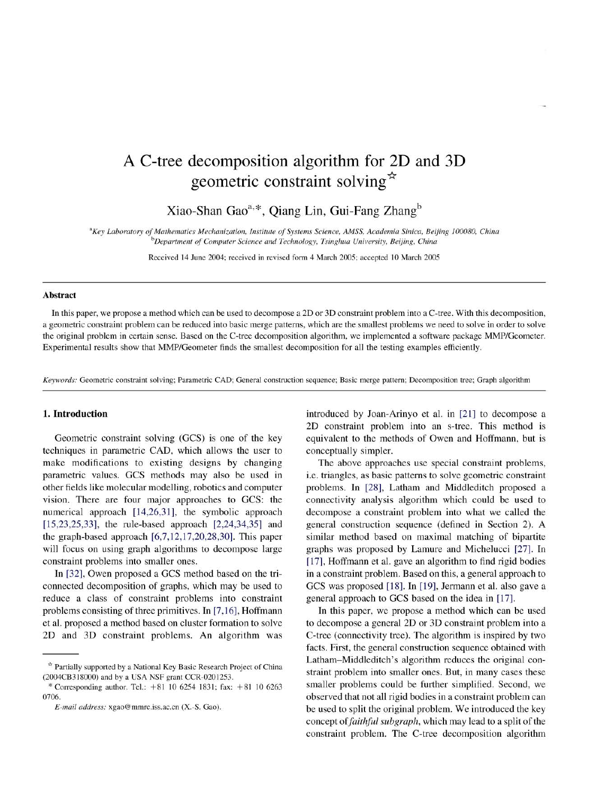# A C-tree decomposition algorithm for 2D and 3D geometric constraint solving  $\star$

Xiao-Shan Gao<sup>a,\*</sup>, Qiang Lin, Gui-Fang Zhang<sup>b</sup>

<sup>a</sup>Key Laboratory of Mathematics Mechanization, Institute of Systems Science, AMSS, Academia Sinica, Beijing 100080, China <sup>b</sup>Department of Computer Science and Technology, Tsinghua University, Beijing, China

Received 14 June 2004; received in revised form 4 March 2005; accepted 10 March 2005

#### **Abstract**

In this paper, we propose a method which can be used to decompose a 2D or 3D constraint problem into a C-tree. With this decomposition, a geometric constraint problem can be reduced into basic merge patterns, which are the smallest problems we need to solve in order to solve the original problem in certain sense. Based on the C-tree decomposition algorithm, we implemented a software package MMP/Geometer. Experimental results show that MMP/Geometer finds the smallest decomposition for all the testing examples efficiently.

Keywords: Geometric constraint solving; Parametric CAD; General construction sequence; Basic merge pattern; Decomposition tree; Graph algorithm

# 1. Introduction

Geometric constraint solving (GCS) is one of the key techniques in parametric CAD, which allows the user to make modifications to existing designs by changing parametric values. GCS methods may also be used in other fields like molecular modelling, robotics and computer vision. There are four major approaches to GCS: the numerical approach [14,26,31], the symbolic approach  $[15,23,25,33]$ , the rule-based approach  $[2,24,34,35]$  and the graph-based approach  $[6,7,12,17,20,28,30]$ . This paper will focus on using graph algorithms to decompose large constraint problems into smaller ones.

In [32], Owen proposed a GCS method based on the triconnected decomposition of graphs, which may be used to reduce a class of constraint problems into constraint problems consisting of three primitives. In [7,16], Hoffmann et al. proposed a method based on cluster formation to solve 2D and 3D constraint problems. An algorithm was introduced by Joan-Arinyo et al. in [21] to decompose a 2D constraint problem into an s-tree. This method is equivalent to the methods of Owen and Hoffmann, but is conceptually simpler.

The above approaches use special constraint problems, i.e. triangles, as basic patterns to solve geometric constraint problems. In [28], Latham and Middleditch proposed a connectivity analysis algorithm which could be used to decompose a constraint problem into what we called the general construction sequence (defined in Section 2). A similar method based on maximal matching of bipartite graphs was proposed by Lamure and Michelucci [27]. In [17], Hoffmann et al. gave an algorithm to find rigid bodies in a constraint problem. Based on this, a general approach to GCS was proposed [18]. In [19], Jermann et al. also gave a general approach to GCS based on the idea in [17].

In this paper, we propose a method which can be used to decompose a general 2D or 3D constraint problem into a C-tree (connectivity tree). The algorithm is inspired by two facts. First, the general construction sequence obtained with Latham-Middleditch's algorithm reduces the original constraint problem into smaller ones. But, in many cases these smaller problems could be further simplified. Second, we observed that not all rigid bodies in a constraint problem can be used to split the original problem. We introduced the key concept of *faithful subgraph*, which may lead to a split of the constraint problem. The C-tree decomposition algorithm

<sup>\*</sup> Partially supported by a National Key Basic Research Project of China (2004CB318000) and by a USA NSF grant CCR-0201253.

<sup>\*</sup> Corresponding author. Tel.:  $+81$  10 6254 1831; fax:  $+81$  10 6263 0706.

E-mail address: xgao@mmrc.iss.ac.cn (X.-S. Gao).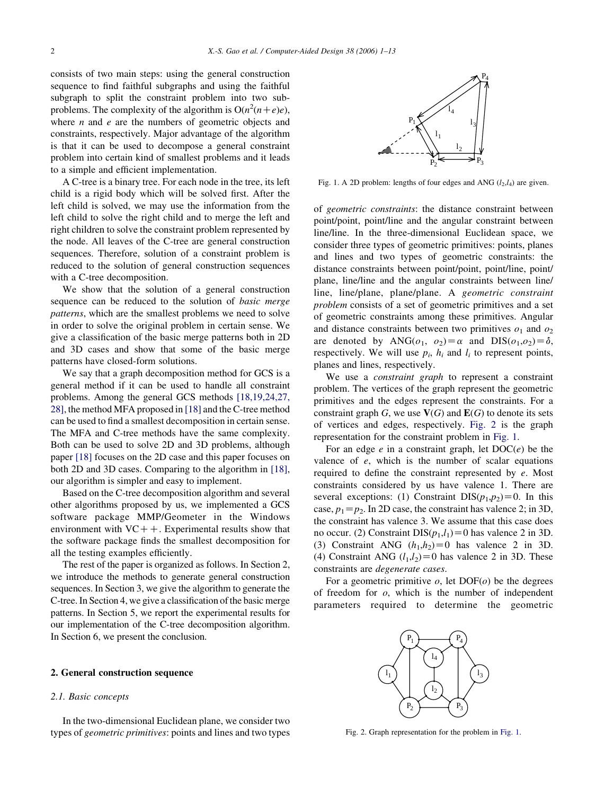consists of two main steps: using the general construction sequence to find faithful subgraphs and using the faithful subgraph to split the constraint problem into two subproblems. The complexity of the algorithm is  $O(n^2(n+e)e)$ , where  $n$  and  $e$  are the numbers of geometric objects and constraints, respectively. Major advantage of the algorithm is that it can be used to decompose a general constraint problem into certain kind of smallest problems and it leads to a simple and efficient implementation.

A C-tree is a binary tree. For each node in the tree, its left child is a rigid body which will be solved first. After the left child is solved, we may use the information from the left child to solve the right child and to merge the left and right children to solve the constraint problem represented by the node. All leaves of the C-tree are general construction sequences. Therefore, solution of a constraint problem is reduced to the solution of general construction sequences with a C-tree decomposition.

We show that the solution of a general construction sequence can be reduced to the solution of basic merge patterns, which are the smallest problems we need to solve in order to solve the original problem in certain sense. We give a classification of the basic merge patterns both in 2D and 3D cases and show that some of the basic merge patterns have closed-form solutions.

We say that a graph decomposition method for GCS is a general method if it can be used to handle all constraint problems. Among the general GCS methods [18,19,24,27, 28], the method MFA proposed in [18] and the C-tree method can be used to find a smallest decomposition in certain sense. The MFA and C-tree methods have the same complexity. Both can be used to solve 2D and 3D problems, although paper [18] focuses on the 2D case and this paper focuses on both 2D and 3D cases. Comparing to the algorithm in [18], our algorithm is simpler and easy to implement.

Based on the C-tree decomposition algorithm and several other algorithms proposed by us, we implemented a GCS software package MMP/Geometer in the Windows environment with  $VC++$ . Experimental results show that the software package finds the smallest decomposition for all the testing examples efficiently.

The rest of the paper is organized as follows. In Section 2, we introduce the methods to generate general construction sequences. In Section 3, we give the algorithm to generate the C-tree. In Section 4, we give a classification of the basic merge patterns. In Section 5, we report the experimental results for our implementation of the C-tree decomposition algorithm. In Section 6, we present the conclusion.

#### 2. General construction sequence

#### 2.1. Basic concepts

In the two-dimensional Euclidean plane, we consider two types of geometric primitives: points and lines and two types



Fig. 1. A 2D problem: lengths of four edges and ANG  $(l_2, l_4)$  are given.

of geometric constraints: the distance constraint between point/point, point/line and the angular constraint between line/line. In the three-dimensional Euclidean space, we consider three types of geometric primitives: points, planes and lines and two types of geometric constraints: the distance constraints between point/point, point/line, point/ plane, line/line and the angular constraints between line/ line, line/plane, plane/plane. A geometric constraint problem consists of a set of geometric primitives and a set of geometric constraints among these primitives. Angular and distance constraints between two primitives  $o_1$  and  $o_2$ are denoted by ANG( $o_1$ ,  $o_2$ ) =  $\alpha$  and DIS( $o_1$ , $o_2$ ) =  $\delta$ , respectively. We will use  $p_i$ ,  $h_i$  and  $l_i$  to represent points, planes and lines, respectively.

We use a *constraint graph* to represent a constraint problem. The vertices of the graph represent the geometric primitives and the edges represent the constraints. For a constraint graph G, we use  $V(G)$  and  $E(G)$  to denote its sets of vertices and edges, respectively. Fig. 2 is the graph representation for the constraint problem in Fig. 1.

For an edge  $e$  in a constraint graph, let  $DOC(e)$  be the valence of  $e$ , which is the number of scalar equations required to define the constraint represented by e. Most constraints considered by us have valence 1. There are several exceptions: (1) Constraint DIS $(p_1, p_2)=0$ . In this case,  $p_1 = p_2$ . In 2D case, the constraint has valence 2; in 3D, the constraint has valence 3. We assume that this case does no occur. (2) Constraint DIS( $p_1,l_1$ )=0 has valence 2 in 3D. (3) Constraint ANG  $(h_1,h_2)=0$  has valence 2 in 3D. (4) Constraint ANG  $(l_1, l_2) = 0$  has valence 2 in 3D. These constraints are degenerate cases.

For a geometric primitive  $o$ , let DOF $(o)$  be the degrees of freedom for  $o$ , which is the number of independent parameters required to determine the geometric



Fig. 2. Graph representation for the problem in Fig. 1.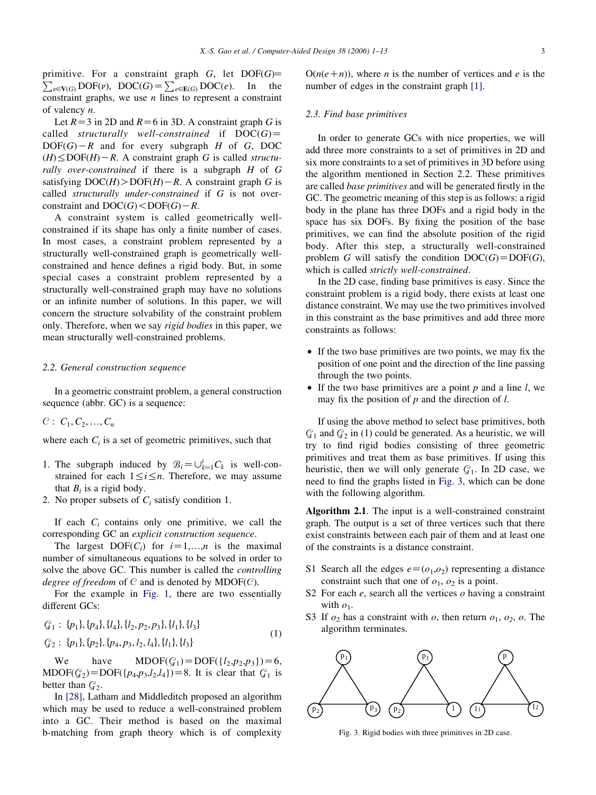$\sum_{v \in V(G)} DOF(v)$ ,  $DOC(G) = \sum_{e \in E(G)} DOC(e)$ . In the primitive. For a constraint graph  $G$ , let  $DOF(G)$ = constraint graphs, we use  $n$  lines to represent a constraint of valency n.

Let  $R=3$  in 2D and  $R=6$  in 3D. A constraint graph G is called structurally well-constrained if  $DOC(G)$  $DOF(G) - R$  and for every subgraph H of G, DOC  $(H) \leq DOF(H) - R$ . A constraint graph G is called structurally over-constrained if there is a subgraph H of G satisfying  $DOC(H) > DOF(H) - R$ . A constraint graph G is called structurally under-constrained if G is not overconstraint and  $DOC(G) < DOF(G) - R$ .

A constraint system is called geometrically wellconstrained if its shape has only a finite number of cases. In most cases, a constraint problem represented by a structurally well-constrained graph is geometrically wellconstrained and hence defines a rigid body. But, in some special cases a constraint problem represented by a structurally well-constrained graph may have no solutions or an infinite number of solutions. In this paper, we will concern the structure solvability of the constraint problem only. Therefore, when we say rigid bodies in this paper, we mean structurally well-constrained problems.

#### 2.2. General construction sequence

In a geometric constraint problem, a general construction sequence (abbr. GC) is a sequence:

 $C: C_1, C_2, ..., C_n$ 

where each  $C_i$  is a set of geometric primitives, such that

- 1. The subgraph induced by  $\mathcal{B}_i = \bigcup_{k=1}^i C_k$  is well-constrained for each  $1 \le i \le n$ . Therefore, we may assume that  $B_i$  is a rigid body.
- 2. No proper subsets of  $C_i$  satisfy condition 1.

If each  $C_i$  contains only one primitive, we call the corresponding GC an explicit construction sequence.

The largest  $DOF(C_i)$  for  $i=1,...,n$  is the maximal number of simultaneous equations to be solved in order to solve the above GC. This number is called the controlling degree of freedom of  $C$  and is denoted by MDOF( $C$ ).

For the example in Fig. 1, there are two essentially different GCs:

$$
G_1: \{p_1\}, \{p_4\}, \{l_4\}, \{l_2, p_2, p_3\}, \{l_1\}, \{l_3\}
$$
  

$$
G_2: \{p_1\}, \{p_2\}, \{p_4, p_3, l_2, l_4\}, \{l_1\}, \{l_3\}
$$
 (1)

We have  $MDOF(\mathcal{G}_1) = DOF({l_2, p_2, p_3})=6,$  $MDOF(\mathcal{G}_2) = DOF({p_4,p_3,l_2,l_4})=8.$  It is clear that  $\mathcal{G}_1$  is better than  $G_2$ .

In [28], Latham and Middleditch proposed an algorithm which may be used to reduce a well-constrained problem into a GC. Their method is based on the maximal b-matching from graph theory which is of complexity  $O(n(e+n))$ , where *n* is the number of vertices and *e* is the number of edges in the constraint graph [1].

# 2.3. Find base primitives

In order to generate GCs with nice properties, we will add three more constraints to a set of primitives in 2D and six more constraints to a set of primitives in 3D before using the algorithm mentioned in Section 2.2. These primitives are called base primitives and will be generated firstly in the GC. The geometric meaning of this step is as follows: a rigid body in the plane has three DOFs and a rigid body in the space has six DOFs. By fixing the position of the base primitives, we can find the absolute position of the rigid body. After this step, a structurally well-constrained problem G will satisfy the condition  $DOC(G)=DOF(G)$ , which is called strictly well-constrained.

In the 2D case, finding base primitives is easy. Since the constraint problem is a rigid body, there exists at least one distance constraint. We may use the two primitives involved in this constraint as the base primitives and add three more constraints as follows:

- If the two base primitives are two points, we may fix the position of one point and the direction of the line passing through the two points.
- If the two base primitives are a point  $p$  and a line  $l$ , we may fix the position of  $p$  and the direction of  $l$ .

If using the above method to select base primitives, both  $\mathcal{G}_1$  and  $\mathcal{G}_2$  in (1) could be generated. As a heuristic, we will try to find rigid bodies consisting of three geometric primitives and treat them as base primitives. If using this heuristic, then we will only generate  $C<sub>1</sub>$ . In 2D case, we need to find the graphs listed in Fig. 3, which can be done with the following algorithm.

Algorithm 2.1. The input is a well-constrained constraint graph. The output is a set of three vertices such that there exist constraints between each pair of them and at least one of the constraints is a distance constraint.

- S1 Search all the edges  $e=(o_1,o_2)$  representing a distance constraint such that one of  $o_1$ ,  $o_2$  is a point.
- S2 For each  $e$ , search all the vertices  $o$  having a constraint with  $o_1$ .
- S3 If  $o_2$  has a constraint with  $o_1$ , then return  $o_1$ ,  $o_2$ ,  $o$ . The algorithm terminates.



Fig. 3. Rigid bodies with three primitives in 2D case.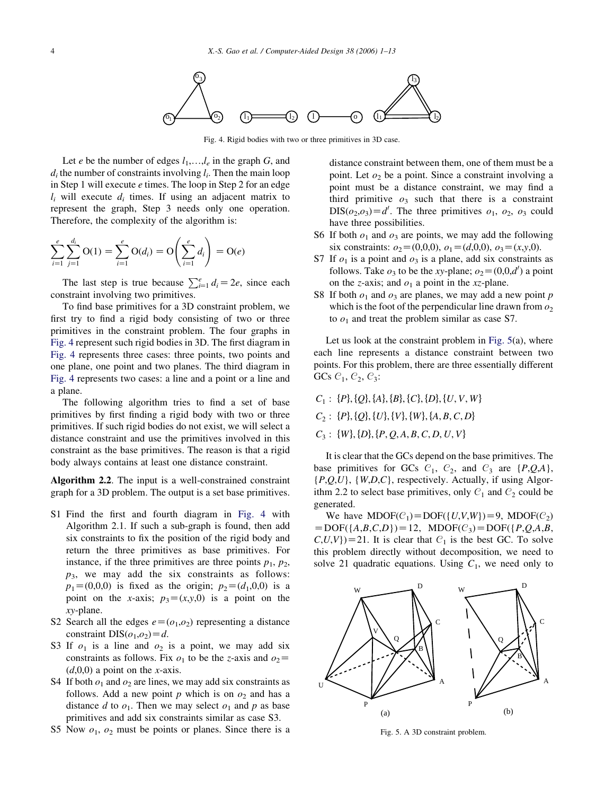

Fig. 4. Rigid bodies with two or three primitives in 3D case.

Let e be the number of edges  $l_1, \ldots, l_e$  in the graph G, and  $d_i$  the number of constraints involving  $l_i$ . Then the main loop in Step 1 will execute e times. The loop in Step 2 for an edge  $l_i$  will execute  $d_i$  times. If using an adjacent matrix to represent the graph, Step 3 needs only one operation. Therefore, the complexity of the algorithm is:

$$
\sum_{i=1}^{e} \sum_{j=1}^{d_i} O(1) = \sum_{i=1}^{e} O(d_i) = O\left(\sum_{i=1}^{e} d_i\right) = O(e)
$$

The last step is true because  $\sum_{i=1}^{e} d_i = 2e$ , since each constraint involving two primitives.

To find base primitives for a 3D constraint problem, we first try to find a rigid body consisting of two or three primitives in the constraint problem. The four graphs in Fig. 4 represent such rigid bodies in 3D. The first diagram in Fig. 4 represents three cases: three points, two points and one plane, one point and two planes. The third diagram in Fig. 4 represents two cases: a line and a point or a line and a plane.

The following algorithm tries to find a set of base primitives by first finding a rigid body with two or three primitives. If such rigid bodies do not exist, we will select a distance constraint and use the primitives involved in this constraint as the base primitives. The reason is that a rigid body always contains at least one distance constraint.

Algorithm 2.2. The input is a well-constrained constraint graph for a 3D problem. The output is a set base primitives.

- S1 Find the first and fourth diagram in Fig. 4 with Algorithm 2.1. If such a sub-graph is found, then add six constraints to fix the position of the rigid body and return the three primitives as base primitives. For instance, if the three primitives are three points  $p_1$ ,  $p_2$ ,  $p_3$ , we may add the six constraints as follows:  $p_1=(0,0,0)$  is fixed as the origin;  $p_2=(d_1,0,0)$  is a point on the x-axis;  $p_3=(x,y,0)$  is a point on the xy-plane.
- S2 Search all the edges  $e=(o_1,o_2)$  representing a distance constraint DIS( $o_1,o_2$ )=d.
- S3 If  $o_1$  is a line and  $o_2$  is a point, we may add six constraints as follows. Fix  $o_1$  to be the z-axis and  $o_2$ =  $(d,0,0)$  a point on the x-axis.
- S4 If both  $o_1$  and  $o_2$  are lines, we may add six constraints as follows. Add a new point p which is on  $o_2$  and has a distance d to  $o_1$ . Then we may select  $o_1$  and p as base primitives and add six constraints similar as case S3.
- S5 Now  $o_1$ ,  $o_2$  must be points or planes. Since there is a

distance constraint between them, one of them must be a point. Let  $o_2$  be a point. Since a constraint involving a point must be a distance constraint, we may find a third primitive  $\rho_3$  such that there is a constraint  $DIS(o_2, o_3) = d'$ . The three primitives  $o_1$ ,  $o_2$ ,  $o_3$  could have three possibilities.

- S6 If both  $o_1$  and  $o_3$  are points, we may add the following six constraints:  $o_2=(0,0,0), o_1=(d,0,0), o_3=(x,y,0).$
- S7 If  $o_1$  is a point and  $o_3$  is a plane, add six constraints as follows. Take  $o_3$  to be the xy-plane;  $o_2 = (0,0,d')$  a point on the *z*-axis; and  $o_1$  a point in the *xz*-plane.
- S8 If both  $o_1$  and  $o_3$  are planes, we may add a new point p which is the foot of the perpendicular line drawn from  $\mathfrak{o}_2$ to  $o_1$  and treat the problem similar as case S7.

Let us look at the constraint problem in Fig. 5(a), where each line represents a distance constraint between two points. For this problem, there are three essentially different GCs  $C_1$ ,  $C_2$ ,  $C_3$ :

$$
C_1: \{P\}, \{Q\}, \{A\}, \{B\}, \{C\}, \{D\}, \{U, V, W\}
$$

$$
C_2: \{P\}, \{Q\}, \{U\}, \{V\}, \{W\}, \{A, B, C, D\}
$$

$$
C_3: \{W\}, \{D\}, \{P, Q, A, B, C, D, U, V\}
$$

It is clear that the GCs depend on the base primitives. The base primitives for GCs  $C_1$ ,  $C_2$ , and  $C_3$  are  $\{P, QA\}$ ,  $\{P,Q,U\}, \{W,D,C\},$  respectively. Actually, if using Algorithm 2.2 to select base primitives, only  $C_1$  and  $C_2$  could be generated.

We have  $MDOF(\mathcal{C}_1) = DOF({U,V,W}) = 9$ ,  $MDOF(\mathcal{C}_2)$  $= DOF({A,B,C,D})=12$ ,  $MDOF(C_3)=DOF({P,Q,A,B},$  $(C, U, V)$  = 21. It is clear that  $C_1$  is the best GC. To solve this problem directly without decomposition, we need to solve 21 quadratic equations. Using  $C_1$ , we need only to



Fig. 5. A 3D constraint problem.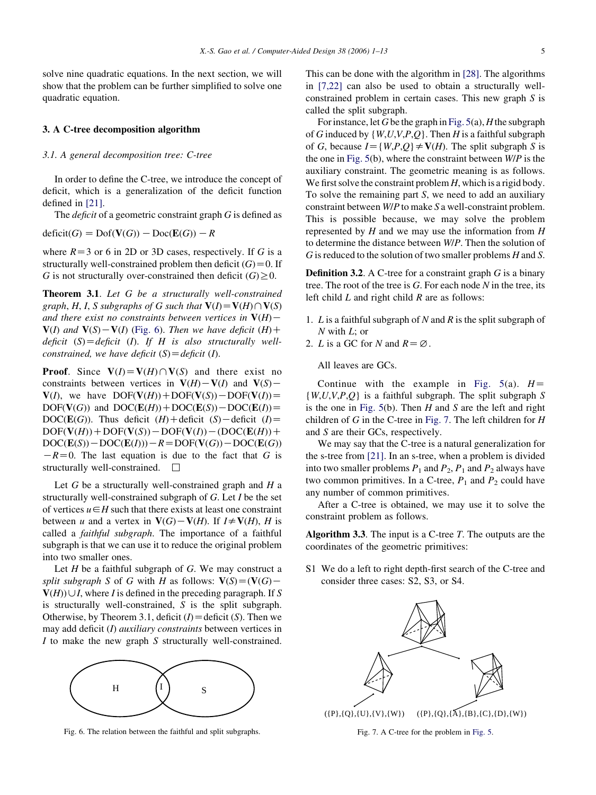solve nine quadratic equations. In the next section, we will show that the problem can be further simplified to solve one quadratic equation.

# 3. A C-tree decomposition algorithm

#### 3.1. A general decomposition tree: C-tree

In order to define the C-tree, we introduce the concept of deficit, which is a generalization of the deficit function defined in [21].

The *deficit* of a geometric constraint graph  $G$  is defined as

 $deficit(G) = Dof(V(G)) - Doc(E(G)) - R$ 

where  $R=3$  or 6 in 2D or 3D cases, respectively. If G is a structurally well-constrained problem then deficit  $(G) = 0$ . If G is not structurally over-constrained then deficit  $(G) \geq 0$ .

Theorem 3.1. Let G be a structurally well-constrained graph, H, I, S subgraphs of G such that  $V(I) = V(H) \cap V(S)$ and there exist no constraints between vertices in  $V(H)$  –  $V(I)$  and  $V(S) - V(I)$  (Fig. 6). Then we have deficit (H) + deficit  $(S) =$ deficit  $(I)$ . If H is also structurally wellconstrained, we have deficit  $(S) = \text{deficit} (I)$ .

**Proof.** Since  $V(I) = V(H) \cap V(S)$  and there exist no constraints between vertices in  $V(H) - V(I)$  and  $V(S)$  $V(I)$ , we have  $DOF(V(H)) + DOF(V(S)) - DOF(V(I)) =$  $DOF(V(G))$  and  $DOC(E(H)) + DOC(E(S)) - DOC(E(I))=$  $DOC(\mathbf{E}(G))$ . Thus deficit  $(H)$  + deficit  $(S)$  – deficit  $(I)$  =  $DOF(V(H)) + DOF(V(S)) - DOF(V(I)) - (DOC(E(H)) +$  $DOC(\mathbf{E}(S)) - DOC(\mathbf{E}(I)) - R = DOF(\mathbf{V}(G)) - DOC(\mathbf{E}(G))$  $-R=0$ . The last equation is due to the fact that G is structurally well-constrained.  $\Box$ 

Let  $G$  be a structurally well-constrained graph and  $H$  a structurally well-constrained subgraph of G. Let I be the set of vertices  $u \in H$  such that there exists at least one constraint between u and a vertex in  $V(G)-V(H)$ . If  $I \neq V(H)$ , H is called a faithful subgraph. The importance of a faithful subgraph is that we can use it to reduce the original problem into two smaller ones.

Let  $H$  be a faithful subgraph of  $G$ . We may construct a split subgraph S of G with H as follows:  $V(S) = (V(G) V(H) \cup I$ , where I is defined in the preceding paragraph. If S is structurally well-constrained, S is the split subgraph. Otherwise, by Theorem 3.1, deficit  $(I)$  = deficit  $(S)$ . Then we may add deficit  $(I)$  *auxiliary constraints* between vertices in I to make the new graph S structurally well-constrained.



Fig. 6. The relation between the faithful and split subgraphs.

This can be done with the algorithm in [28]. The algorithms in [7,22] can also be used to obtain a structurally wellconstrained problem in certain cases. This new graph S is called the split subgraph.

For instance, let G be the graph in Fig.  $5(a)$ , H the subgraph of G induced by  $\{W, U, V, P, Q\}$ . Then H is a faithful subgraph of G, because  $I = \{W, P, Q\} \neq V(H)$ . The split subgraph S is the one in Fig.  $5(b)$ , where the constraint between  $W/P$  is the auxiliary constraint. The geometric meaning is as follows. We first solve the constraint problem  $H$ , which is a rigid body. To solve the remaining part S, we need to add an auxiliary constraint between W/P to make S a well-constraint problem. This is possible because, we may solve the problem represented by  $H$  and we may use the information from  $H$ to determine the distance between W/P. Then the solution of G is reduced to the solution of two smaller problems  $H$  and  $S$ .

**Definition 3.2.** A C-tree for a constraint graph  $G$  is a binary tree. The root of the tree is  $G$ . For each node  $N$  in the tree, its left child  $L$  and right child  $R$  are as follows:

- 1. L is a faithful subgraph of N and R is the split subgraph of  $N$  with  $L$ ; or
- 2. *L* is a GC for *N* and  $R = \emptyset$ .

All leaves are GCs.

Continue with the example in Fig.  $5(a)$ .  $H=$  $\{W, U, V, P, Q\}$  is a faithful subgraph. The split subgraph S is the one in Fig.  $5(b)$ . Then H and S are the left and right children of G in the C-tree in Fig. 7. The left children for  $H$ and S are their GCs, respectively.

We may say that the C-tree is a natural generalization for the s-tree from [21]. In an s-tree, when a problem is divided into two smaller problems  $P_1$  and  $P_2$ ,  $P_1$  and  $P_2$  always have two common primitives. In a C-tree,  $P_1$  and  $P_2$  could have any number of common primitives.

After a C-tree is obtained, we may use it to solve the constraint problem as follows.

**Algorithm 3.3.** The input is a C-tree  $T$ . The outputs are the coordinates of the geometric primitives:

S1 We do a left to right depth-first search of the C-tree and consider three cases: S2, S3, or S4.



Fig. 7. A C-tree for the problem in Fig. 5.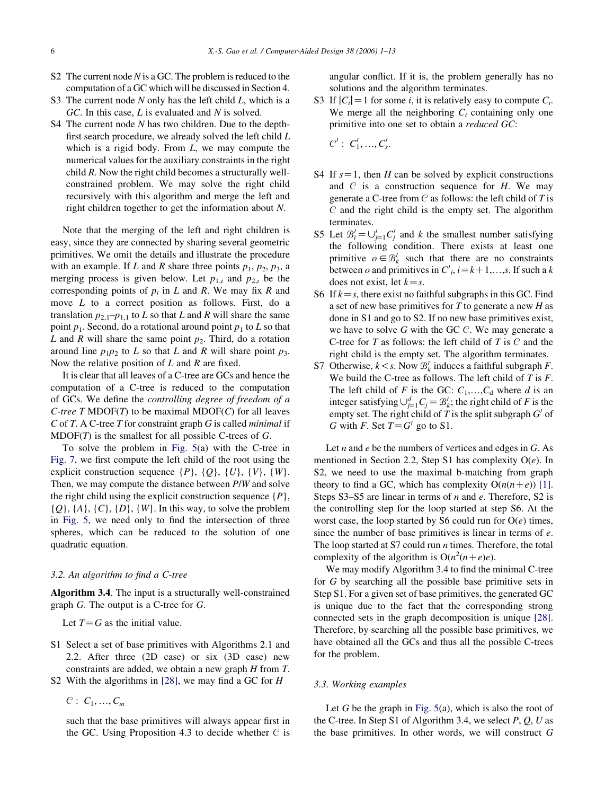- S2 The current node  $N$  is a GC. The problem is reduced to the computation of a GC which will be discussed in Section 4.
- S3 The current node  $N$  only has the left child  $L$ , which is a  $GC$ . In this case,  $L$  is evaluated and  $N$  is solved.
- S4 The current node N has two children. Due to the depthfirst search procedure, we already solved the left child L which is a rigid body. From  $L$ , we may compute the numerical values for the auxiliary constraints in the right child R. Now the right child becomes a structurally wellconstrained problem. We may solve the right child recursively with this algorithm and merge the left and right children together to get the information about N.

Note that the merging of the left and right children is easy, since they are connected by sharing several geometric primitives. We omit the details and illustrate the procedure with an example. If L and R share three points  $p_1$ ,  $p_2$ ,  $p_3$ , a merging process is given below. Let  $p_{1,i}$  and  $p_{2,i}$  be the corresponding points of  $p_i$  in L and R. We may fix R and move L to a correct position as follows. First, do a translation  $p_{2,1}-p_{1,1}$  to L so that L and R will share the same point  $p_1$ . Second, do a rotational around point  $p_1$  to L so that L and R will share the same point  $p_2$ . Third, do a rotation around line  $p_1p_2$  to L so that L and R will share point  $p_3$ . Now the relative position of  $L$  and  $R$  are fixed.

It is clear that all leaves of a C-tree are GCs and hence the computation of a C-tree is reduced to the computation of GCs. We define the controlling degree of freedom of a C-tree  $T$  MDOF( $T$ ) to be maximal MDOF( $C$ ) for all leaves C of T. A C-tree T for constraint graph G is called *minimal* if  $MDOF(T)$  is the smallest for all possible C-trees of G.

To solve the problem in Fig. 5(a) with the C-tree in Fig. 7, we first compute the left child of the root using the explicit construction sequence  $\{P\}$ ,  $\{Q\}$ ,  $\{U\}$ ,  $\{V\}$ ,  $\{W\}$ . Then, we may compute the distance between P/W and solve the right child using the explicit construction sequence  $\{P\}$ ,  $\{Q\}, \{A\}, \{C\}, \{D\}, \{W\}.$  In this way, to solve the problem in Fig. 5, we need only to find the intersection of three spheres, which can be reduced to the solution of one quadratic equation.

# 3.2. An algorithm to find a C-tree

Algorithm 3.4. The input is a structurally well-constrained graph G. The output is a C-tree for G.

Let  $T = G$  as the initial value.

- S1 Select a set of base primitives with Algorithms 2.1 and 2.2. After three (2D case) or six (3D case) new constraints are added, we obtain a new graph H from T.
- S2 With the algorithms in [28], we may find a GC for  $H$

 $C: C_1, ..., C_m$ 

such that the base primitives will always appear first in the GC. Using Proposition 4.3 to decide whether  $C$  is angular conflict. If it is, the problem generally has no solutions and the algorithm terminates.

S3 If  $|C_i|=1$  for some *i*, it is relatively easy to compute  $C_i$ . We merge all the neighboring  $C_i$  containing only one primitive into one set to obtain a reduced GC:

 $C' : C'_1, ..., C'_s.$ 

- S4 If  $s=1$ , then H can be solved by explicit constructions and  $C$  is a construction sequence for  $H$ . We may generate a C-tree from  $C$  as follows: the left child of T is  $C$  and the right child is the empty set. The algorithm terminates.
- S5 Let  $\mathcal{B}'_i = \bigcup_{j=1}^i C'_j$  and k the smallest number satisfying the following condition. There exists at least one primitive  $o \in \mathcal{B}'_k$  such that there are no constraints between o and primitives in  $C_i$ ,  $i = k+1,...,s$ . If such a k does not exist, let  $k=s$ .
- S6 If  $k = s$ , there exist no faithful subgraphs in this GC. Find a set of new base primitives for T to generate a new H as done in S1 and go to S2. If no new base primitives exist, we have to solve G with the GC  $\mathcal{C}$ . We may generate a C-tree for T as follows: the left child of T is  $C$  and the right child is the empty set. The algorithm terminates.
- S7 Otherwise,  $k < s$ . Now  $\mathcal{B}'_k$  induces a faithful subgraph F. We build the C-tree as follows. The left child of  $T$  is  $F$ . The left child of F is the GC:  $C_1, \ldots, C_d$  where d is an integer satisfying  $\bigcup_{j=1}^d C_j = \mathcal{B}'_k$ ; the right child of F is the empty set. The right child of T is the split subgraph  $G'$  of G with F. Set  $T = G'$  go to S1.

Let  $n$  and  $e$  be the numbers of vertices and edges in  $G$ . As mentioned in Section 2.2, Step S1 has complexity  $O(e)$ . In S2, we need to use the maximal b-matching from graph theory to find a GC, which has complexity  $O(n(n+e))$  [1]. Steps S3–S5 are linear in terms of *n* and *e*. Therefore, S2 is the controlling step for the loop started at step S6. At the worst case, the loop started by S6 could run for  $O(e)$  times, since the number of base primitives is linear in terms of  $e$ . The loop started at S7 could run  $n$  times. Therefore, the total complexity of the algorithm is  $O(n^2(n+e)e)$ .

We may modify Algorithm 3.4 to find the minimal C-tree for G by searching all the possible base primitive sets in Step S1. For a given set of base primitives, the generated GC is unique due to the fact that the corresponding strong connected sets in the graph decomposition is unique [28]. Therefore, by searching all the possible base primitives, we have obtained all the GCs and thus all the possible C-trees for the problem.

# 3.3. Working examples

Let  $G$  be the graph in Fig.  $5(a)$ , which is also the root of the C-tree. In Step S1 of Algorithm 3.4, we select  $P$ ,  $Q$ ,  $U$  as the base primitives. In other words, we will construct G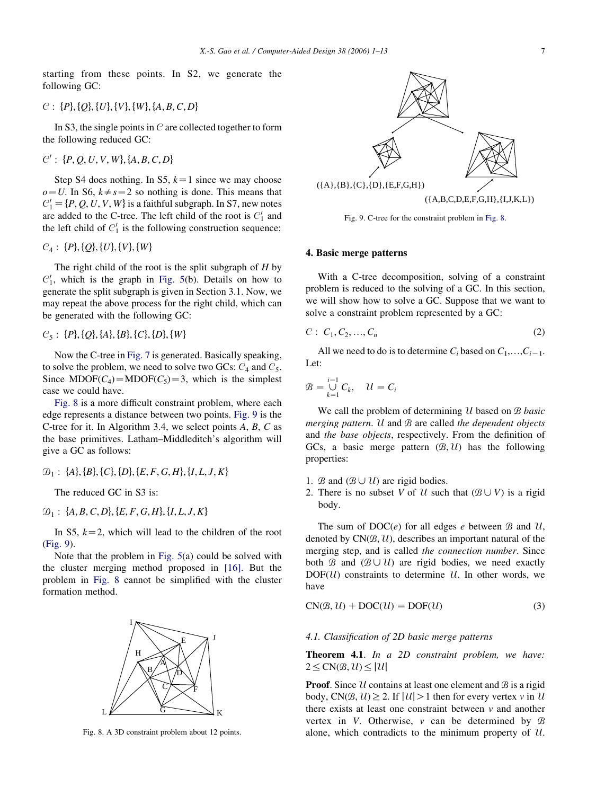starting from these points. In S2, we generate the following GC:

# C : {P}, {Q}, {U}, {V}, {W}, {A, B, C, D}

In S3, the single points in  $C$  are collected together to form the following reduced GC:

 $C'$ : {P, Q, U, V, W}, {A, B, C, D}

Step S4 does nothing. In S5,  $k=1$  since we may choose  $o=U$ . In S6,  $k\neq s=2$  so nothing is done. This means that  $C_1' = \{P, Q, U, V, W\}$  is a faithful subgraph. In S7, new notes are added to the C-tree. The left child of the root is  $C_1'$  and the left child of  $C_1'$  is the following construction sequence:

# $C_4$ : {P}, {Q}, {U}, {V}, {W}

The right child of the root is the split subgraph of  $H$  by  $C_1'$ , which is the graph in Fig. 5(b). Details on how to generate the split subgraph is given in Section 3.1. Now, we may repeat the above process for the right child, which can be generated with the following GC:

 $C_5$ : {P}, {Q}, {A}, {B}, {C}, {D}, {W}

Now the C-tree in Fig. 7 is generated. Basically speaking, to solve the problem, we need to solve two GCs:  $C_4$  and  $C_5$ . Since MDOF( $C_4$ )=MDOF( $C_5$ )=3, which is the simplest case we could have.

Fig. 8 is a more difficult constraint problem, where each edge represents a distance between two points. Fig. 9 is the C-tree for it. In Algorithm 3.4, we select points A, B, C as the base primitives. Latham–Middleditch's algorithm will give a GC as follows:

 $\mathcal{D}_1$  : {A}, {B}, {C}, {D}, {E, F, G, H}, {I, L, J, K}

The reduced GC in S3 is:

 $D_1$ : {A, B, C, D}, {E, F, G, H}, {I, L, J, K}

In S5,  $k=2$ , which will lead to the children of the root (Fig. 9).

Note that the problem in Fig. 5(a) could be solved with the cluster merging method proposed in [16]. But the problem in Fig. 8 cannot be simplified with the cluster formation method.



Fig. 8. A 3D constraint problem about 12 points.



Fig. 9. C-tree for the constraint problem in Fig. 8.

### 4. Basic merge patterns

With a C-tree decomposition, solving of a constraint problem is reduced to the solving of a GC. In this section, we will show how to solve a GC. Suppose that we want to solve a constraint problem represented by a GC:

$$
C: C_1, C_2, ..., C_n
$$
 (2)

All we need to do is to determine  $C_i$  based on  $C_1, \ldots, C_{i-1}$ . Let:

$$
\mathcal{B} = \bigcup_{k=1}^{i-1} C_k, \quad \mathcal{U} = C_i
$$

We call the problem of determining  $U$  based on  $B$  basic merging pattern.  $U$  and  $B$  are called the dependent objects and the base objects, respectively. From the definition of GCs, a basic merge pattern  $(\mathcal{B}, \mathcal{U})$  has the following properties:

- 1.  $\mathcal B$  and  $(\mathcal B \cup \mathcal U)$  are rigid bodies.
- 2. There is no subset V of U such that  $(\mathcal{B} \cup V)$  is a rigid body.

The sum of  $DOC(e)$  for all edges e between  $\mathcal{B}$  and  $\mathcal{U}$ , denoted by  $CN(\mathcal{B}, \mathcal{U})$ , describes an important natural of the merging step, and is called the connection number. Since both  $\mathcal B$  and  $(\mathcal B \cup \mathcal U)$  are rigid bodies, we need exactly  $DOF(U)$  constraints to determine U. In other words, we have

$$
CN(\mathcal{B}, \mathcal{U}) + DOC(\mathcal{U}) = DOF(\mathcal{U})
$$
\n(3)

# 4.1. Classification of 2D basic merge patterns

Theorem 4.1. In a 2D constraint problem, we have:  $2 \leq CN(B, U) \leq |U|$ 

**Proof.** Since  $\mathcal U$  contains at least one element and  $\mathcal B$  is a rigid body, CN $(\mathcal{B}, \mathcal{U}) > 2$ . If  $|\mathcal{U}| > 1$  then for every vertex v in U there exists at least one constraint between  $\nu$  and another vertex in V. Otherwise,  $\nu$  can be determined by  $\beta$ alone, which contradicts to the minimum property of  $U$ .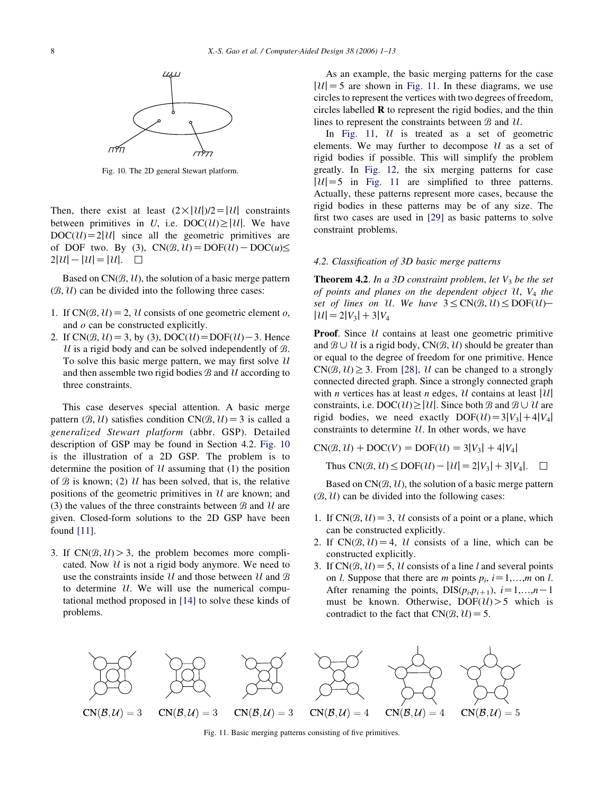

Fig. 10. The 2D general Stewart platform.

Then, there exist at least  $(2 \times |U|)/2=|U|$  constraints between primitives in U, i.e.  $DOC(\mathcal{U})\ge|\mathcal{U}|$ . We have  $DOC(U) = 2|U|$  since all the geometric primitives are of DOF two. By (3),  $CN(\mathcal{B}, \mathcal{U}) = DOF(\mathcal{U}) - DOC(\mathcal{U}) \leq$  $2|U|-|U|=|U|$ .  $\Box$ 

Based on  $CN(B, U)$ , the solution of a basic merge pattern  $(\mathcal{B}, \mathcal{U})$  can be divided into the following three cases:

- 1. If CN $(\mathcal{B}, \mathcal{U}) = 2$ , U consists of one geometric element o, and  $o$  can be constructed explicitly.
- 2. If  $CN(\mathcal{B}, \mathcal{U}) = 3$ , by (3),  $DOC(\mathcal{U}) = DOF(\mathcal{U})-3$ . Hence U is a rigid body and can be solved independently of  $\mathcal{B}$ . To solve this basic merge pattern, we may first solve  $U$ and then assemble two rigid bodies  $\mathcal B$  and  $\mathcal U$  according to three constraints.

This case deserves special attention. A basic merge pattern  $(\mathcal{B}, \mathcal{U})$  satisfies condition  $CN(\mathcal{B}, \mathcal{U}) = 3$  is called a generalized Stewart platform (abbr. GSP). Detailed description of GSP may be found in Section 4.2. Fig. 10 is the illustration of a 2D GSP. The problem is to determine the position of  $U$  assuming that (1) the position of  $\mathcal B$  is known; (2) U has been solved, that is, the relative positions of the geometric primitives in  $U$  are known; and (3) the values of the three constraints between  $\mathcal{B}$  and  $\mathcal{U}$  are given. Closed-form solutions to the 2D GSP have been found [11].

3. If  $CN(\mathcal{B}, \mathcal{U}) > 3$ , the problem becomes more complicated. Now  $\mathcal U$  is not a rigid body anymore. We need to use the constraints inside  $\mathcal U$  and those between  $\mathcal U$  and  $\mathcal B$ to determine  $U$ . We will use the numerical computational method proposed in [14] to solve these kinds of problems.

As an example, the basic merging patterns for the case  $|U|=5$  are shown in Fig. 11. In these diagrams, we use circles to represent the vertices with two degrees of freedom, circles labelled  $\bf{R}$  to represent the rigid bodies, and the thin lines to represent the constraints between  $\mathcal{B}$  and  $\mathcal{U}$ .

In Fig. 11,  $U$  is treated as a set of geometric elements. We may further to decompose  $\mathcal U$  as a set of rigid bodies if possible. This will simplify the problem greatly. In Fig. 12, the six merging patterns for case  $|U|=5$  in Fig. 11 are simplified to three patterns. Actually, these patterns represent more cases, because the rigid bodies in these patterns may be of any size. The first two cases are used in [29] as basic patterns to solve constraint problems.

#### 4.2. Classification of 3D basic merge patterns

**Theorem 4.2.** In a 3D constraint problem, let  $V_3$  be the set of points and planes on the dependent object  $U$ ,  $V_4$  the set of lines on U. We have  $3 \le CN(B, U) \le DOF(U)$  $|U|=2|V_3|+3|V_4$ 

**Proof.** Since  $\mathcal{U}$  contains at least one geometric primitive and  $B \cup U$  is a rigid body, CN $(B, U)$  should be greater than or equal to the degree of freedom for one primitive. Hence  $CN(B, U) \geq 3$ . From [28], U can be changed to a strongly connected directed graph. Since a strongly connected graph with *n* vertices has at least *n* edges,  $U$  contains at least | $U$ | constraints, i.e.  $DOC(\mathcal{U})\geq|\mathcal{U}|$ . Since both B and  $B\cup\mathcal{U}$  are rigid bodies, we need exactly  $DOF(\mathcal{U}) = 3|V_3| + 4|V_4|$ constraints to determine  $U$ . In other words, we have

CNðB; UÞ CDOCðVÞ Z DOFðUÞ Z3jV3j C4jV4j Thus CNðB; UÞ%DOFðUÞKjUjZ2jV3jC3jV4j. ,

Based on  $CN(B, U)$ , the solution of a basic merge pattern  $(\mathcal{B}, \mathcal{U})$  can be divided into the following cases:

- 1. If CN $(\mathcal{B}, \mathcal{U}) = 3$ , U consists of a point or a plane, which can be constructed explicitly.
- 2. If  $CN(\mathcal{B}, \mathcal{U}) = 4$ ,  $\mathcal{U}$  consists of a line, which can be constructed explicitly.
- 3. If CN $(\mathcal{B}, \mathcal{U}) = 5$ , U consists of a line l and several points on *l*. Suppose that there are *m* points  $p_i$ ,  $i=1,...,m$  on *l*. After renaming the points,  $DIS(p_i, p_{i+1}), i=1,...,n-1$ must be known. Otherwise,  $DOF(U) > 5$  which is contradict to the fact that  $CN(B, U) = 5$ .



Fig. 11. Basic merging patterns consisting of five primitives.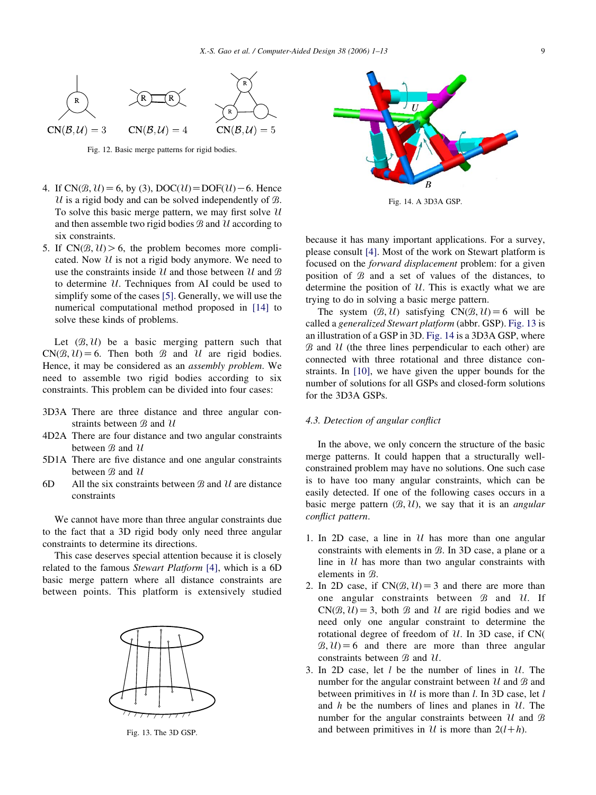

Fig. 12. Basic merge patterns for rigid bodies.

- 4. If  $CN(B, U) = 6$ , by (3),  $DOC(U) = DOF(U) 6$ . Hence U is a rigid body and can be solved independently of  $\mathcal{B}$ . To solve this basic merge pattern, we may first solve  $\mathcal U$ and then assemble two rigid bodies  $B$  and  $U$  according to six constraints.
- 5. If  $CN(\mathcal{B}, \mathcal{U}) > 6$ , the problem becomes more complicated. Now  $U$  is not a rigid body anymore. We need to use the constraints inside  $\mathcal U$  and those between  $\mathcal U$  and  $\mathcal B$ to determine  $\mathcal U$ . Techniques from AI could be used to simplify some of the cases [5]. Generally, we will use the numerical computational method proposed in [14] to solve these kinds of problems.

Let  $(\mathcal{B}, \mathcal{U})$  be a basic merging pattern such that  $CN(\mathcal{B}, \mathcal{U}) = 6$ . Then both  $\mathcal{B}$  and  $\mathcal{U}$  are rigid bodies. Hence, it may be considered as an assembly problem. We need to assemble two rigid bodies according to six constraints. This problem can be divided into four cases:

- 3D3A There are three distance and three angular constraints between  $B$  and  $U$
- 4D2A There are four distance and two angular constraints between  $B$  and  $U$
- 5D1A There are five distance and one angular constraints between  $\mathcal B$  and  $\mathcal U$
- 6D All the six constraints between  $\beta$  and  $\mathcal{U}$  are distance constraints

We cannot have more than three angular constraints due to the fact that a 3D rigid body only need three angular constraints to determine its directions.

This case deserves special attention because it is closely related to the famous Stewart Platform [4], which is a 6D basic merge pattern where all distance constraints are between points. This platform is extensively studied



Fig. 13. The 3D GSP.



Fig. 14. A 3D3A GSP.

because it has many important applications. For a survey, please consult [4]. Most of the work on Stewart platform is focused on the forward displacement problem: for a given position of  $B$  and a set of values of the distances, to determine the position of  $U$ . This is exactly what we are trying to do in solving a basic merge pattern.

The system  $(\mathcal{B}, \mathcal{U})$  satisfying  $CN(\mathcal{B}, \mathcal{U}) = 6$  will be called a generalized Stewart platform (abbr. GSP). Fig. 13 is an illustration of a GSP in 3D. Fig. 14 is a 3D3A GSP, where  $B$  and  $U$  (the three lines perpendicular to each other) are connected with three rotational and three distance constraints. In [10], we have given the upper bounds for the number of solutions for all GSPs and closed-form solutions for the 3D3A GSPs.

#### 4.3. Detection of angular conflict

In the above, we only concern the structure of the basic merge patterns. It could happen that a structurally wellconstrained problem may have no solutions. One such case is to have too many angular constraints, which can be easily detected. If one of the following cases occurs in a basic merge pattern  $(B, U)$ , we say that it is an *angular* conflict pattern.

- 1. In 2D case, a line in  $\mathcal U$  has more than one angular constraints with elements in  $\mathcal{B}$ . In 3D case, a plane or a line in  $U$  has more than two angular constraints with elements in  $\mathcal{B}$ .
- 2. In 2D case, if  $CN(\mathcal{B}, \mathcal{U}) = 3$  and there are more than one angular constraints between  $\mathcal{B}$  and  $\mathcal{U}$ . If  $CN(B, U) = 3$ , both B and U are rigid bodies and we need only one angular constraint to determine the rotational degree of freedom of  $U$ . In 3D case, if CN $($  $B, U$  = 6 and there are more than three angular constraints between  $\mathcal{B}$  and  $\mathcal{U}$ .
- 3. In 2D case, let  $l$  be the number of lines in  $U$ . The number for the angular constraint between  $\mathcal U$  and  $\mathcal B$  and between primitives in  $U$  is more than l. In 3D case, let l and  $h$  be the numbers of lines and planes in  $\mathcal{U}$ . The number for the angular constraints between  $\mathcal U$  and  $\mathcal B$ and between primitives in U is more than  $2(l+h)$ .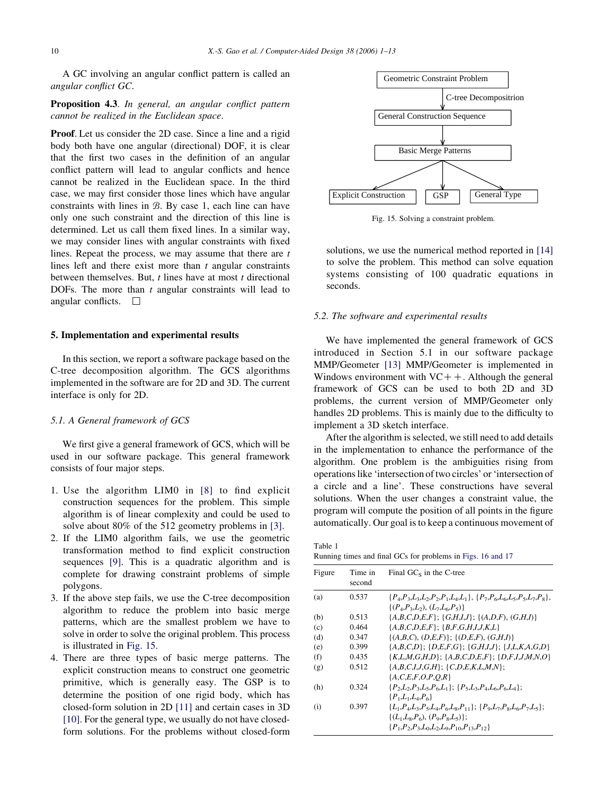A GC involving an angular conflict pattern is called an angular conflict GC.

Proposition 4.3. In general, an angular conflict pattern cannot be realized in the Euclidean space.

Proof. Let us consider the 2D case. Since a line and a rigid body both have one angular (directional) DOF, it is clear that the first two cases in the definition of an angular conflict pattern will lead to angular conflicts and hence cannot be realized in the Euclidean space. In the third case, we may first consider those lines which have angular constraints with lines in  $B$ . By case 1, each line can have only one such constraint and the direction of this line is determined. Let us call them fixed lines. In a similar way, we may consider lines with angular constraints with fixed lines. Repeat the process, we may assume that there are  $t$ lines left and there exist more than  $t$  angular constraints between themselves. But,  $t$  lines have at most  $t$  directional DOFs. The more than  $t$  angular constraints will lead to angular conflicts.  $\Box$ 

### 5. Implementation and experimental results

In this section, we report a software package based on the C-tree decomposition algorithm. The GCS algorithms implemented in the software are for 2D and 3D. The current interface is only for 2D.

#### 5.1. A General framework of GCS

We first give a general framework of GCS, which will be used in our software package. This general framework consists of four major steps.

- 1. Use the algorithm LIM0 in [8] to find explicit construction sequences for the problem. This simple algorithm is of linear complexity and could be used to solve about 80% of the 512 geometry problems in [3].
- 2. If the LIM0 algorithm fails, we use the geometric transformation method to find explicit construction sequences [9]. This is a quadratic algorithm and is complete for drawing constraint problems of simple polygons.
- 3. If the above step fails, we use the C-tree decomposition algorithm to reduce the problem into basic merge patterns, which are the smallest problem we have to solve in order to solve the original problem. This process is illustrated in Fig. 15.
- 4. There are three types of basic merge patterns. The explicit construction means to construct one geometric primitive, which is generally easy. The GSP is to determine the position of one rigid body, which has closed-form solution in 2D [11] and certain cases in 3D [10]. For the general type, we usually do not have closedform solutions. For the problems without closed-form



Fig. 15. Solving a constraint problem.

solutions, we use the numerical method reported in [14] to solve the problem. This method can solve equation systems consisting of 100 quadratic equations in seconds.

# 5.2. The software and experimental results

We have implemented the general framework of GCS introduced in Section 5.1 in our software package MMP/Geometer [13] MMP/Geometer is implemented in Windows environment with  $VC++$ . Although the general framework of GCS can be used to both 2D and 3D problems, the current version of MMP/Geometer only handles 2D problems. This is mainly due to the difficulty to implement a 3D sketch interface.

After the algorithm is selected, we still need to add details in the implementation to enhance the performance of the algorithm. One problem is the ambiguities rising from operations like 'intersection of two circles' or 'intersection of a circle and a line'. These constructions have several solutions. When the user changes a constraint value, the program will compute the position of all points in the figure automatically. Our goal is to keep a continuous movement of

Table 1 Running times and final GCs for problems in Figs. 16 and 17

| Figure | Time in<br>second | Final $GC_s$ in the C-tree                                                                                                                                                                |
|--------|-------------------|-------------------------------------------------------------------------------------------------------------------------------------------------------------------------------------------|
| (a)    | 0.537             | ${P_4, P_3, L_3, L_2, P_2, P_1, L_4, L_1}, {P_7, P_6, L_6, L_5, P_5, L_7, P_8},$<br>$\{(P_4, P_3, L_2), (L_7, L_6, P_5)\}\$                                                               |
| (b)    | 0.513             | ${A,B,C,D,E,F}$ ; ${G,H,I,J}$ ; ${(A,D,F),(G,H,I)}$                                                                                                                                       |
| (c)    | 0.464             | ${A,B,C,D,E,F}; {B,F,G,H,I,J,K,L}$                                                                                                                                                        |
| (d)    | 0.347             | $\{(A,B,C), (D,E,F)\}\; ; \; \{(D,E,F), (G,H,I)\}\;$                                                                                                                                      |
| (e)    | 0.399             | ${A,B,C,D}$ ; {D,E,F,G}; {G,H,I,J}; {J,L,K,A,G,D}                                                                                                                                         |
| (f)    | 0.435             | ${K,L,M,G,H,D}; {A,B,C,D,E,F}; {D,F,J,J,M,N,O}$                                                                                                                                           |
| (g)    | 0.512             | ${A,B,C,I,J,G,H}$ ; {C,D,E,K,L,M,N};<br>${A, C, E, F, O, P, O, R}$                                                                                                                        |
| (h)    | 0.324             | $\{P_2, L_2, P_3, L_5, P_6, L_1\}; \{P_5, L_3, P_4, L_6, P_6, L_4\};$<br>$\{P_1, L_1, L_4, P_6\}$                                                                                         |
| (i)    | 0.397             | ${L_1, P_4, L_3, P_5, L_4, P_6, L_8, P_{11}}$ ; ${P_9, L_7, P_8, L_6, P_7, L_5}$ ;<br>$\{(L_1, L_8, P_6), (P_9, P_8, L_5)\};$<br>${P_1, P_2, P_3, L_0, L_2, L_9, P_{10}, P_{13}, P_{12}}$ |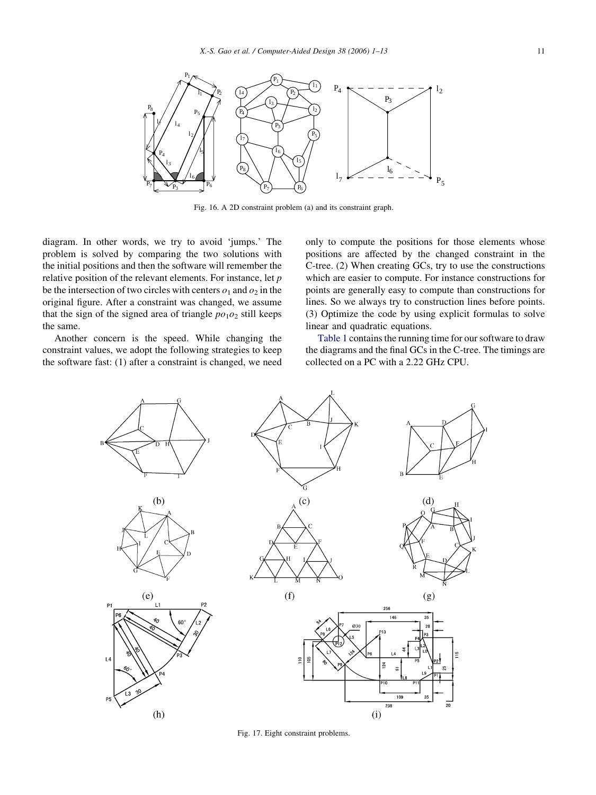

Fig. 16. A 2D constraint problem (a) and its constraint graph.

diagram. In other words, we try to avoid 'jumps.' The problem is solved by comparing the two solutions with the initial positions and then the software will remember the relative position of the relevant elements. For instance, let p be the intersection of two circles with centers  $o_1$  and  $o_2$  in the original figure. After a constraint was changed, we assume that the sign of the signed area of triangle  $po<sub>1</sub>o<sub>2</sub>$  still keeps the same.

Another concern is the speed. While changing the constraint values, we adopt the following strategies to keep the software fast: (1) after a constraint is changed, we need

only to compute the positions for those elements whose positions are affected by the changed constraint in the C-tree. (2) When creating GCs, try to use the constructions which are easier to compute. For instance constructions for points are generally easy to compute than constructions for lines. So we always try to construction lines before points. (3) Optimize the code by using explicit formulas to solve linear and quadratic equations.

Table 1 contains the running time for our software to draw the diagrams and the final GCs in the C-tree. The timings are collected on a PC with a 2.22 GHz CPU.



Fig. 17. Eight constraint problems.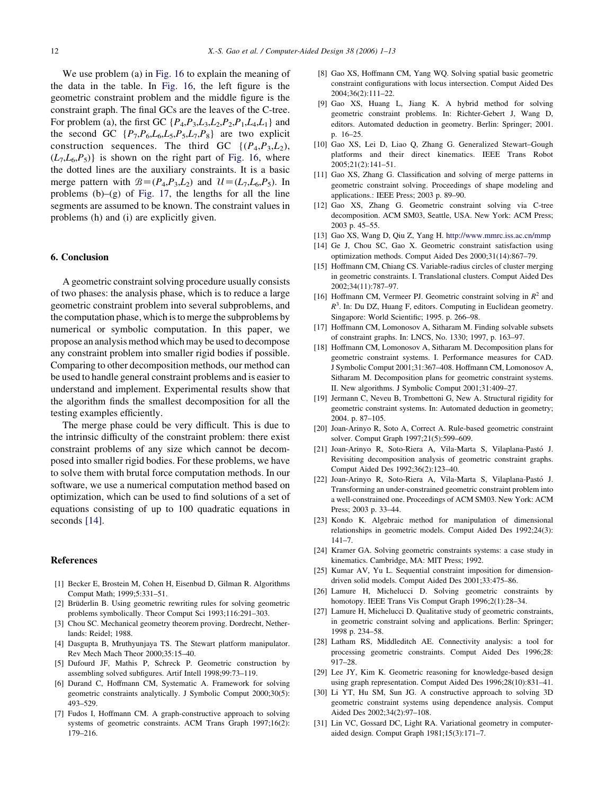We use problem (a) in Fig. 16 to explain the meaning of the data in the table. In Fig. 16, the left figure is the geometric constraint problem and the middle figure is the constraint graph. The final GCs are the leaves of the C-tree. For problem (a), the first GC  $\{P_4, P_3, L_3, L_2, P_2, P_1, L_4, L_1\}$  and the second GC  $\{P_7, P_6, L_6, L_5, P_5, L_7, P_8\}$  are two explicit construction sequences. The third GC  $\{(P_4, P_3, L_2),\}$  $(L_7, L_6, P_5)$  is shown on the right part of Fig. 16, where the dotted lines are the auxiliary constraints. It is a basic merge pattern with  $B=(P_4,P_3,L_2)$  and  $\mathcal{U}=(L_7,L_6,P_5)$ . In problems  $(b)$ – $(g)$  of Fig. 17, the lengths for all the line segments are assumed to be known. The constraint values in problems (h) and (i) are explicitly given.

# 6. Conclusion

A geometric constraint solving procedure usually consists of two phases: the analysis phase, which is to reduce a large geometric constraint problem into several subproblems, and the computation phase, which is to merge the subproblems by numerical or symbolic computation. In this paper, we propose an analysis method which may be used to decompose any constraint problem into smaller rigid bodies if possible. Comparing to other decomposition methods, our method can be used to handle general constraint problems and is easier to understand and implement. Experimental results show that the algorithm finds the smallest decomposition for all the testing examples efficiently.

The merge phase could be very difficult. This is due to the intrinsic difficulty of the constraint problem: there exist constraint problems of any size which cannot be decomposed into smaller rigid bodies. For these problems, we have to solve them with brutal force computation methods. In our software, we use a numerical computation method based on optimization, which can be used to find solutions of a set of equations consisting of up to 100 quadratic equations in seconds [14].

#### References

- [1] Becker E, Brostein M, Cohen H, Eisenbud D, Gilman R. Algorithms Comput Math; 1999;5:331–51.
- [2] Brüderlin B. Using geometric rewriting rules for solving geometric problems symbolically. Theor Comput Sci 1993;116:291–303.
- [3] Chou SC. Mechanical geometry theorem proving. Dordrecht, Netherlands: Reidel; 1988.
- [4] Dasgupta B, Mruthyunjaya TS. The Stewart platform manipulator. Rev Mech Mach Theor 2000;35:15–40.
- [5] Dufourd JF, Mathis P, Schreck P. Geometric construction by assembling solved subfigures. Artif Intell 1998;99:73–119.
- [6] Durand C, Hoffmann CM, Systematic A. Framework for solving geometric constraints analytically. J Symbolic Comput 2000;30(5): 493–529.
- [7] Fudos I, Hoffmann CM. A graph-constructive approach to solving systems of geometric constraints. ACM Trans Graph 1997;16(2): 179–216.
- [8] Gao XS, Hoffmann CM, Yang WQ. Solving spatial basic geometric constraint configurations with locus intersection. Comput Aided Des 2004;36(2):111–22.
- [9] Gao XS, Huang L, Jiang K. A hybrid method for solving geometric constraint problems. In: Richter-Gebert J, Wang D, editors. Automated deduction in geometry. Berlin: Springer; 2001. p. 16–25.
- [10] Gao XS, Lei D, Liao Q, Zhang G. Generalized Stewart–Gough platforms and their direct kinematics. IEEE Trans Robot 2005;21(2):141–51.
- [11] Gao XS, Zhang G. Classification and solving of merge patterns in geometric constraint solving. Proceedings of shape modeling and applications.: IEEE Press; 2003 p. 89–90.
- [12] Gao XS, Zhang G. Geometric constraint solving via C-tree decomposition. ACM SM03, Seattle, USA. New York: ACM Press; 2003 p. 45–55.
- [13] Gao XS, Wang D, Qiu Z, Yang H. <http://www.mmrc.iss.ac.cn/mmp>
- [14] Ge J, Chou SC, Gao X. Geometric constraint satisfaction using optimization methods. Comput Aided Des 2000;31(14):867–79.
- [15] Hoffmann CM, Chiang CS. Variable-radius circles of cluster merging in geometric constraints. I. Translational clusters. Comput Aided Des 2002;34(11):787–97.
- [16] Hoffmann CM, Vermeer PJ. Geometric constraint solving in  $\mathbb{R}^2$  and  $R<sup>3</sup>$ . In: Du DZ, Huang F, editors. Computing in Euclidean geometry. Singapore: World Scientific; 1995. p. 266–98.
- [17] Hoffmann CM, Lomonosov A, Sitharam M. Finding solvable subsets of constraint graphs. In: LNCS, No. 1330; 1997, p. 163–97.
- [18] Hoffmann CM, Lomonosov A, Sitharam M, Decomposition plans for geometric constraint systems. I. Performance measures for CAD. J Symbolic Comput 2001;31:367–408. Hoffmann CM, Lomonosov A, Sitharam M. Decomposition plans for geometric constraint systems. II. New algorithms. J Symbolic Comput 2001;31:409–27.
- [19] Jermann C, Neveu B, Trombettoni G, New A. Structural rigidity for geometric constraint systems. In: Automated deduction in geometry; 2004. p. 87–105.
- [20] Joan-Arinyo R, Soto A, Correct A. Rule-based geometric constraint solver. Comput Graph 1997;21(5):599–609.
- [21] Joan-Arinyo R, Soto-Riera A, Vila-Marta S, Vilaplana-Pasto´ J. Revisiting decomposition analysis of geometric constraint graphs. Comput Aided Des 1992;36(2):123–40.
- [22] Joan-Arinyo R, Soto-Riera A, Vila-Marta S, Vilaplana-Pasto´ J. Transforming an under-constrained geometric constraint problem into a well-constrained one. Proceedings of ACM SM03. New York: ACM Press; 2003 p. 33–44.
- [23] Kondo K. Algebraic method for manipulation of dimensional relationships in geometric models. Comput Aided Des 1992;24(3): 141–7.
- [24] Kramer GA. Solving geometric constraints systems: a case study in kinematics. Cambridge, MA: MIT Press; 1992.
- [25] Kumar AV, Yu L. Sequential constraint imposition for dimensiondriven solid models. Comput Aided Des 2001;33:475–86.
- [26] Lamure H, Michelucci D. Solving geometric constraints by homotopy. IEEE Trans Vis Comput Graph 1996;2(1):28-34.
- [27] Lamure H, Michelucci D. Qualitative study of geometric constraints, in geometric constraint solving and applications. Berlin: Springer; 1998 p. 234–58.
- [28] Latham RS, Middleditch AE. Connectivity analysis: a tool for processing geometric constraints. Comput Aided Des 1996;28: 917–28.
- [29] Lee JY, Kim K. Geometric reasoning for knowledge-based design using graph representation. Comput Aided Des 1996;28(10):831–41.
- [30] Li YT, Hu SM, Sun JG. A constructive approach to solving 3D geometric constraint systems using dependence analysis. Comput Aided Des 2002;34(2):97–108.
- [31] Lin VC, Gossard DC, Light RA. Variational geometry in computeraided design. Comput Graph 1981;15(3):171–7.